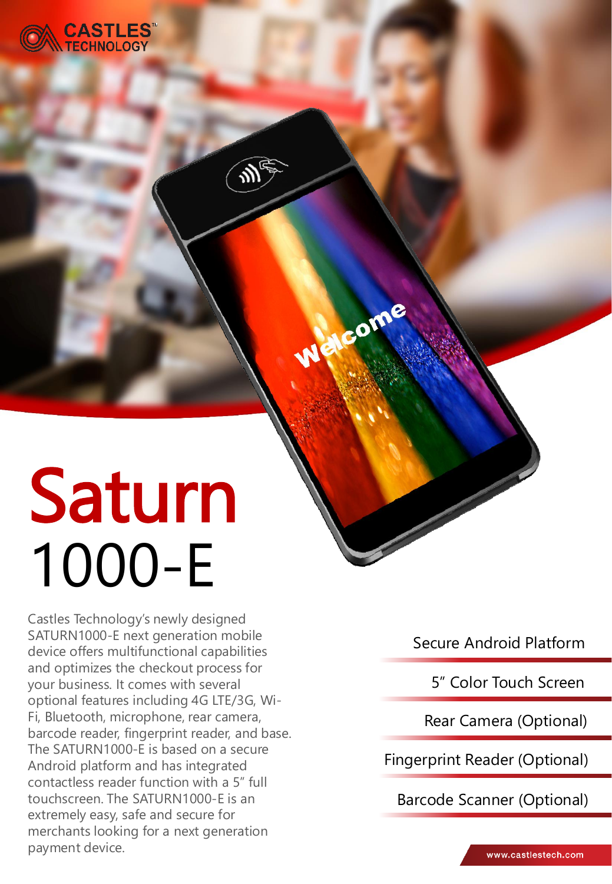

# Saturn 1000-E

Castles Technology's newly designed SATURN1000-E next generation mobile device offers multifunctional capabilities and optimizes the checkout process for your business. It comes with several optional features including 4G LTE/3G, Wi-Fi, Bluetooth, microphone, rear camera, barcode reader, fingerprint reader, and base. The SATURN1000-E is based on a secure Android platform and has integrated contactless reader function with a 5" full touchscreen. The SATURN1000-E is an extremely easy, safe and secure for merchants looking for a next generation payment device.

Secure Android Platform

come

5" Color Touch Screen

Rear Camera (Optional)

Fingerprint Reader (Optional)

Barcode Scanner (Optional)